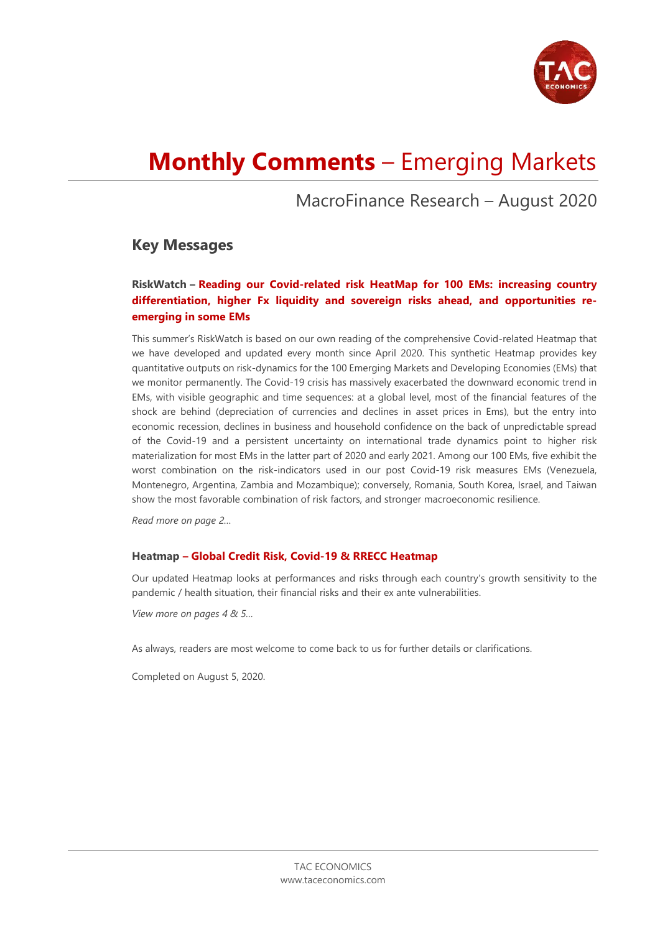

# **Monthly Comments** – Emerging Markets

MacroFinance Research – August 2020

### **Key Messages**

### **RiskWatch – Reading our Covid-related risk HeatMap for 100 EMs: increasing country differentiation, higher Fx liquidity and sovereign risks ahead, and opportunities reemerging in some EMs**

This summer's RiskWatch is based on our own reading of the comprehensive Covid-related Heatmap that we have developed and updated every month since April 2020. This synthetic Heatmap provides key quantitative outputs on risk-dynamics for the 100 Emerging Markets and Developing Economies (EMs) that we monitor permanently. The Covid-19 crisis has massively exacerbated the downward economic trend in EMs, with visible geographic and time sequences: at a global level, most of the financial features of the shock are behind (depreciation of currencies and declines in asset prices in Ems), but the entry into economic recession, declines in business and household confidence on the back of unpredictable spread of the Covid-19 and a persistent uncertainty on international trade dynamics point to higher risk materialization for most EMs in the latter part of 2020 and early 2021. Among our 100 EMs, five exhibit the worst combination on the risk-indicators used in our post Covid-19 risk measures EMs (Venezuela, Montenegro, Argentina, Zambia and Mozambique); conversely, Romania, South Korea, Israel, and Taiwan show the most favorable combination of risk factors, and stronger macroeconomic resilience.

*Read more on page 2…*

### **Heatmap – Global Credit Risk, Covid-19 & RRECC Heatmap**

Our updated Heatmap looks at performances and risks through each country's growth sensitivity to the pandemic / health situation, their financial risks and their ex ante vulnerabilities.

*View more on pages 4 & 5…*

As always, readers are most welcome to come back to us for further details or clarifications.

Completed on August 5, 2020.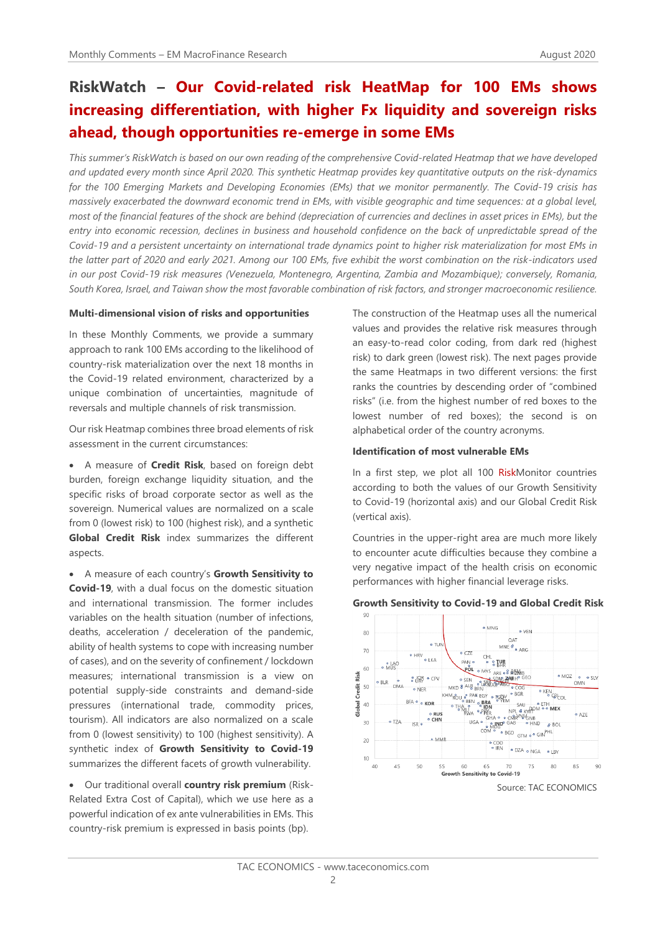# **RiskWatch – Our Covid-related risk HeatMap for 100 EMs shows increasing differentiation, with higher Fx liquidity and sovereign risks ahead, though opportunities re-emerge in some EMs**

*This summer's RiskWatch is based on our own reading of the comprehensive Covid-related Heatmap that we have developed and updated every month since April 2020. This synthetic Heatmap provides key quantitative outputs on the risk-dynamics for the 100 Emerging Markets and Developing Economies (EMs) that we monitor permanently. The Covid-19 crisis has massively exacerbated the downward economic trend in EMs, with visible geographic and time sequences: at a global level, most of the financial features of the shock are behind (depreciation of currencies and declines in asset prices in EMs), but the entry into economic recession, declines in business and household confidence on the back of unpredictable spread of the Covid-19 and a persistent uncertainty on international trade dynamics point to higher risk materialization for most EMs in the latter part of 2020 and early 2021. Among our 100 EMs, five exhibit the worst combination on the risk-indicators used in our post Covid-19 risk measures (Venezuela, Montenegro, Argentina, Zambia and Mozambique); conversely, Romania, South Korea, Israel, and Taiwan show the most favorable combination of risk factors, and stronger macroeconomic resilience.*

### **Multi-dimensional vision of risks and opportunities**

In these Monthly Comments, we provide a summary approach to rank 100 EMs according to the likelihood of country-risk materialization over the next 18 months in the Covid-19 related environment, characterized by a unique combination of uncertainties, magnitude of reversals and multiple channels of risk transmission.

Our risk Heatmap combines three broad elements of risk assessment in the current circumstances:

• A measure of **Credit Risk**, based on foreign debt burden, foreign exchange liquidity situation, and the specific risks of broad corporate sector as well as the sovereign. Numerical values are normalized on a scale from 0 (lowest risk) to 100 (highest risk), and a synthetic **Global Credit Risk** index summarizes the different aspects.

• A measure of each country's **Growth Sensitivity to Covid-19**, with a dual focus on the domestic situation and international transmission. The former includes variables on the health situation (number of infections, deaths, acceleration / deceleration of the pandemic, ability of health systems to cope with increasing number of cases), and on the severity of confinement / lockdown measures; international transmission is a view on potential supply-side constraints and demand-side pressures (international trade, commodity prices, tourism). All indicators are also normalized on a scale from 0 (lowest sensitivity) to 100 (highest sensitivity). A synthetic index of **Growth Sensitivity to Covid-19** summarizes the different facets of growth vulnerability.

• Our traditional overall **country risk premium** (Risk-Related Extra Cost of Capital), which we use here as a powerful indication of ex ante vulnerabilities in EMs. This country-risk premium is expressed in basis points (bp).

The construction of the Heatmap uses all the numerical values and provides the relative risk measures through an easy-to-read color coding, from dark red (highest risk) to dark green (lowest risk). The next pages provide the same Heatmaps in two different versions: the first ranks the countries by descending order of "combined risks" (i.e. from the highest number of red boxes to the lowest number of red boxes); the second is on alphabetical order of the country acronyms.

### **Identification of most vulnerable EMs**

In a first step, we plot all 100 RiskMonitor countries according to both the values of our Growth Sensitivity to Covid-19 (horizontal axis) and our Global Credit Risk (vertical axis).

Countries in the upper-right area are much more likely to encounter acute difficulties because they combine a very negative impact of the health crisis on economic performances with higher financial leverage risks.



#### **Growth Sensitivity to Covid-19 and Global Credit Risk**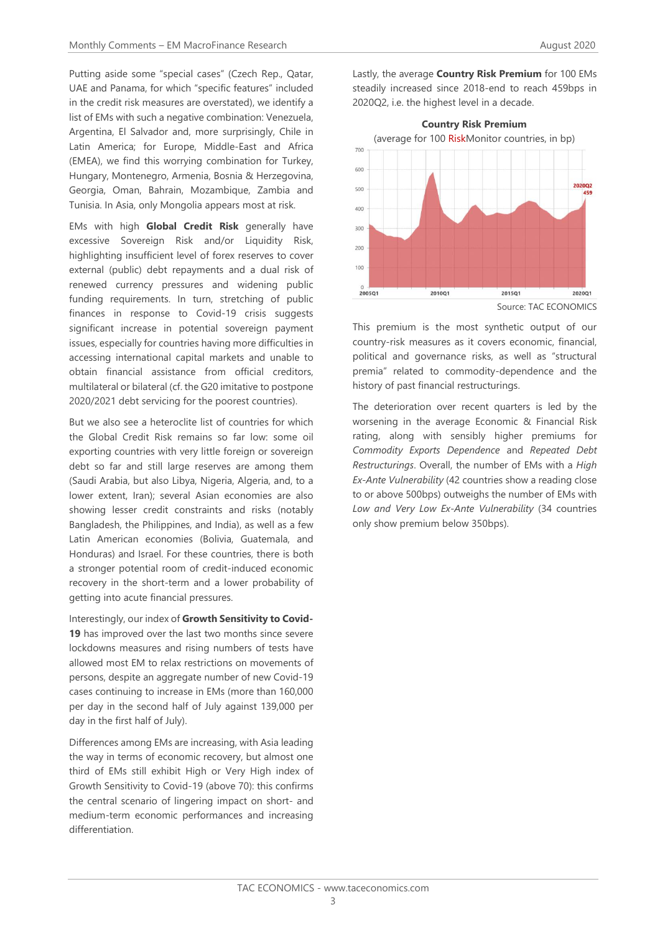Putting aside some "special cases" (Czech Rep., Qatar, UAE and Panama, for which "specific features" included in the credit risk measures are overstated), we identify a list of EMs with such a negative combination: Venezuela, Argentina, El Salvador and, more surprisingly, Chile in Latin America; for Europe, Middle-East and Africa (EMEA), we find this worrying combination for Turkey, Hungary, Montenegro, Armenia, Bosnia & Herzegovina, Georgia, Oman, Bahrain, Mozambique, Zambia and Tunisia. In Asia, only Mongolia appears most at risk.

EMs with high **Global Credit Risk** generally have excessive Sovereign Risk and/or Liquidity Risk, highlighting insufficient level of forex reserves to cover external (public) debt repayments and a dual risk of renewed currency pressures and widening public funding requirements. In turn, stretching of public finances in response to Covid-19 crisis suggests significant increase in potential sovereign payment issues, especially for countries having more difficulties in accessing international capital markets and unable to obtain financial assistance from official creditors, multilateral or bilateral (cf. the G20 imitative to postpone 2020/2021 debt servicing for the poorest countries).

But we also see a heteroclite list of countries for which the Global Credit Risk remains so far low: some oil exporting countries with very little foreign or sovereign debt so far and still large reserves are among them (Saudi Arabia, but also Libya, Nigeria, Algeria, and, to a lower extent, Iran); several Asian economies are also showing lesser credit constraints and risks (notably Bangladesh, the Philippines, and India), as well as a few Latin American economies (Bolivia, Guatemala, and Honduras) and Israel. For these countries, there is both a stronger potential room of credit-induced economic recovery in the short-term and a lower probability of getting into acute financial pressures.

Interestingly, our index of **Growth Sensitivity to Covid-19** has improved over the last two months since severe lockdowns measures and rising numbers of tests have allowed most EM to relax restrictions on movements of persons, despite an aggregate number of new Covid-19 cases continuing to increase in EMs (more than 160,000 per day in the second half of July against 139,000 per day in the first half of July).

Differences among EMs are increasing, with Asia leading the way in terms of economic recovery, but almost one third of EMs still exhibit High or Very High index of Growth Sensitivity to Covid-19 (above 70): this confirms the central scenario of lingering impact on short- and medium-term economic performances and increasing differentiation.

Lastly, the average **Country Risk Premium** for 100 EMs steadily increased since 2018-end to reach 459bps in 2020Q2, i.e. the highest level in a decade.



This premium is the most synthetic output of our country-risk measures as it covers economic, financial, political and governance risks, as well as "structural premia" related to commodity-dependence and the history of past financial restructurings.

The deterioration over recent quarters is led by the worsening in the average Economic & Financial Risk rating, along with sensibly higher premiums for *Commodity Exports Dependence* and *Repeated Debt Restructurings*. Overall, the number of EMs with a *High Ex-Ante Vulnerability* (42 countries show a reading close to or above 500bps) outweighs the number of EMs with *Low and Very Low Ex-Ante Vulnerability* (34 countries only show premium below 350bps).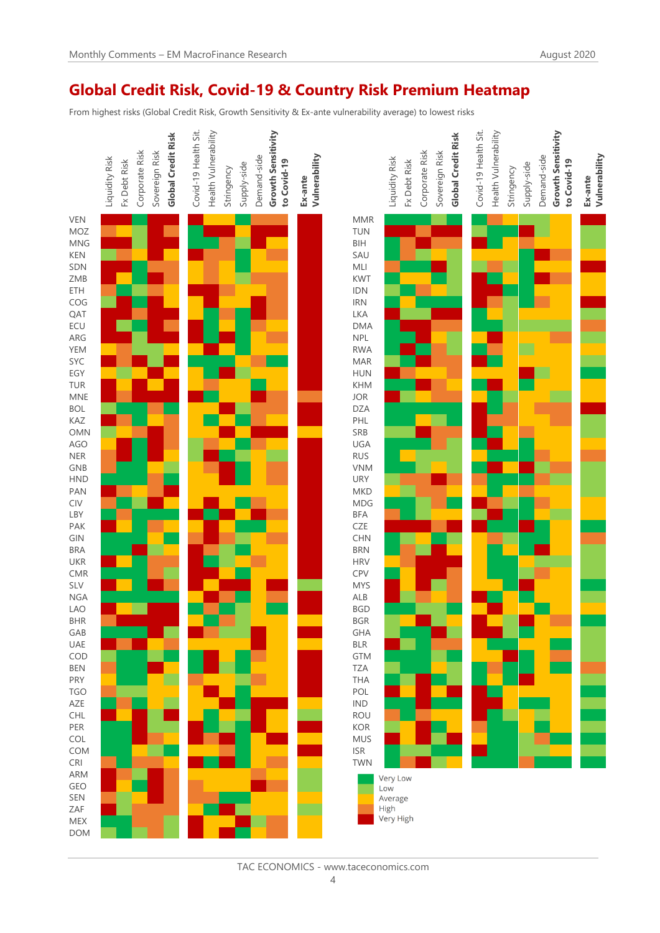# **Global Credit Risk, Covid-19 & Country Risk Premium Heatmap**

From highest risks (Global Credit Risk, Growth Sensitivity & Ex-ante vulnerability average) to lowest risks



TAC ECONOMICS - www.taceconomics.com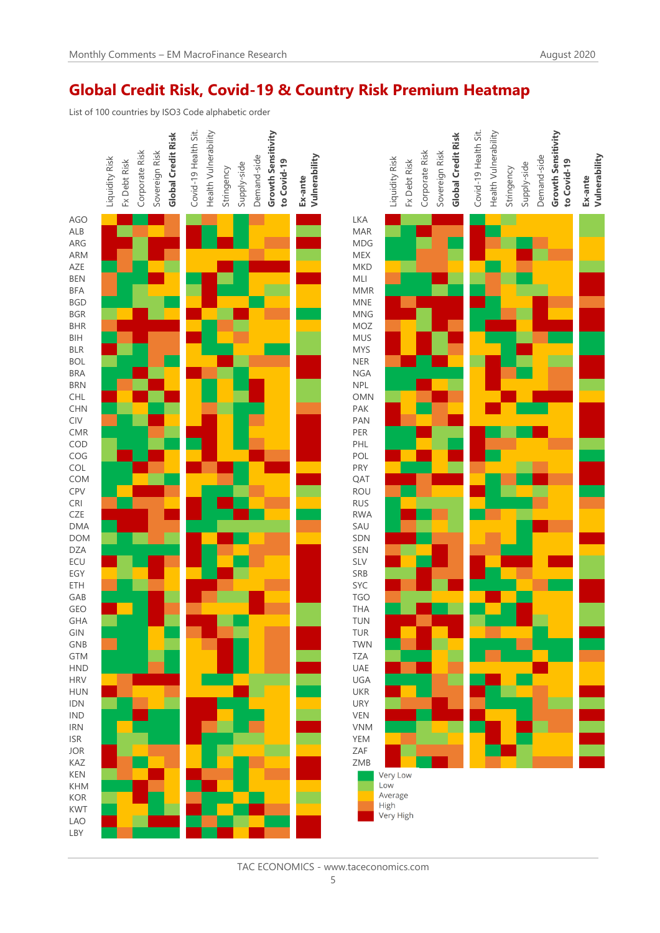# **Global Credit Risk, Covid-19 & Country Risk Premium Heatmap**

List of 100 countries by ISO3 Code alphabetic order

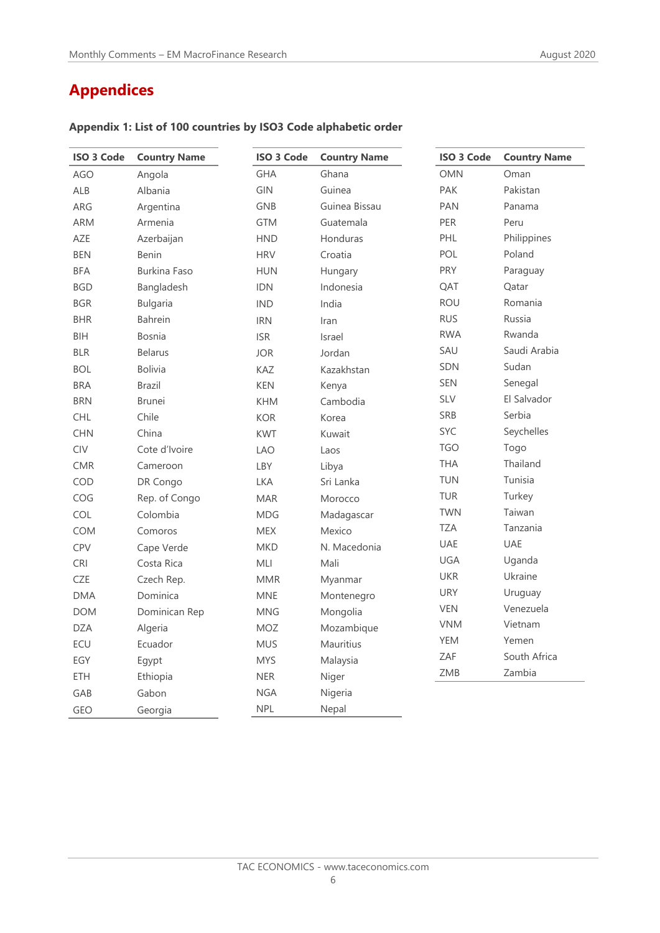# **Appendices**

| <b>ISO 3 Code</b> | <b>Country Name</b> | <b>ISO 3 Code</b> | <b>Country Name</b> | <b>ISO 3 Code</b> | <b>Country Name</b> |
|-------------------|---------------------|-------------------|---------------------|-------------------|---------------------|
| <b>AGO</b>        | Angola              | <b>GHA</b>        | Ghana               | <b>OMN</b>        | Oman                |
| ALB               | Albania             | <b>GIN</b>        | Guinea              | <b>PAK</b>        | Pakistan            |
| ARG               | Argentina           | <b>GNB</b>        | Guinea Bissau       | <b>PAN</b>        | Panama              |
| <b>ARM</b>        | Armenia             | <b>GTM</b>        | Guatemala           | <b>PER</b>        | Peru                |
| AZE               | Azerbaijan          | <b>HND</b>        | Honduras            | PHL               | Philippines         |
| <b>BEN</b>        | <b>Benin</b>        | <b>HRV</b>        | Croatia             | POL               | Poland              |
| <b>BFA</b>        | <b>Burkina Faso</b> | <b>HUN</b>        | Hungary             | <b>PRY</b>        | Paraguay            |
| <b>BGD</b>        | Bangladesh          | <b>IDN</b>        | Indonesia           | QAT               | Qatar               |
| <b>BGR</b>        | <b>Bulgaria</b>     | <b>IND</b>        | India               | <b>ROU</b>        | Romania             |
| <b>BHR</b>        | <b>Bahrein</b>      | <b>IRN</b>        | Iran                | <b>RUS</b>        | Russia              |
| <b>BIH</b>        | <b>Bosnia</b>       | <b>ISR</b>        | Israel              | <b>RWA</b>        | Rwanda              |
| <b>BLR</b>        | <b>Belarus</b>      | <b>JOR</b>        | Jordan              | SAU               | Saudi Arabia        |
| <b>BOL</b>        | <b>Bolivia</b>      | KAZ               | Kazakhstan          | <b>SDN</b>        | Sudan               |
| <b>BRA</b>        | <b>Brazil</b>       | <b>KEN</b>        | Kenya               | <b>SEN</b>        | Senegal             |
| <b>BRN</b>        | <b>Brunei</b>       | <b>KHM</b>        | Cambodia            | SLV               | El Salvador         |
| <b>CHL</b>        | Chile               | <b>KOR</b>        | Korea               | SRB               | Serbia              |
| <b>CHN</b>        | China               | <b>KWT</b>        | Kuwait              | <b>SYC</b>        | Seychelles          |
| CIV               | Cote d'Ivoire       | <b>LAO</b>        | Laos                | <b>TGO</b>        | Togo                |
| <b>CMR</b>        | Cameroon            | <b>LBY</b>        | Libya               | <b>THA</b>        | Thailand            |
| COD               | DR Congo            | <b>LKA</b>        | Sri Lanka           | <b>TUN</b>        | Tunisia             |
| COG               | Rep. of Congo       | <b>MAR</b>        | Morocco             | <b>TUR</b>        | Turkey              |
| COL               | Colombia            | <b>MDG</b>        | Madagascar          | <b>TWN</b>        | Taiwan              |
| <b>COM</b>        | Comoros             | <b>MEX</b>        | Mexico              | <b>TZA</b>        | Tanzania            |
| CPV               | Cape Verde          | <b>MKD</b>        | N. Macedonia        | <b>UAE</b>        | <b>UAE</b>          |
| <b>CRI</b>        | Costa Rica          | MLI               | Mali                | <b>UGA</b>        | Uganda              |
| <b>CZE</b>        | Czech Rep.          | <b>MMR</b>        | Myanmar             | <b>UKR</b>        | Ukraine             |
| <b>DMA</b>        | Dominica            | <b>MNE</b>        | Montenegro          | <b>URY</b>        | Uruguay             |
| <b>DOM</b>        | Dominican Rep       | <b>MNG</b>        | Mongolia            | <b>VEN</b>        | Venezuela           |
| <b>DZA</b>        | Algeria             | <b>MOZ</b>        | Mozambique          | <b>VNM</b>        | Vietnam             |
| ECU               | Ecuador             | <b>MUS</b>        | Mauritius           | <b>YEM</b>        | Yemen               |
| EGY               | Egypt               | <b>MYS</b>        | Malaysia            | ZAF               | South Africa        |
| <b>ETH</b>        | Ethiopia            | <b>NER</b>        | Niger               | ZMB               | Zambia              |
| GAB               | Gabon               | <b>NGA</b>        | Nigeria             |                   |                     |
| <b>GEO</b>        | Georgia             | <b>NPL</b>        | Nepal               |                   |                     |

### **Appendix 1: List of 100 countries by ISO3 Code alphabetic order**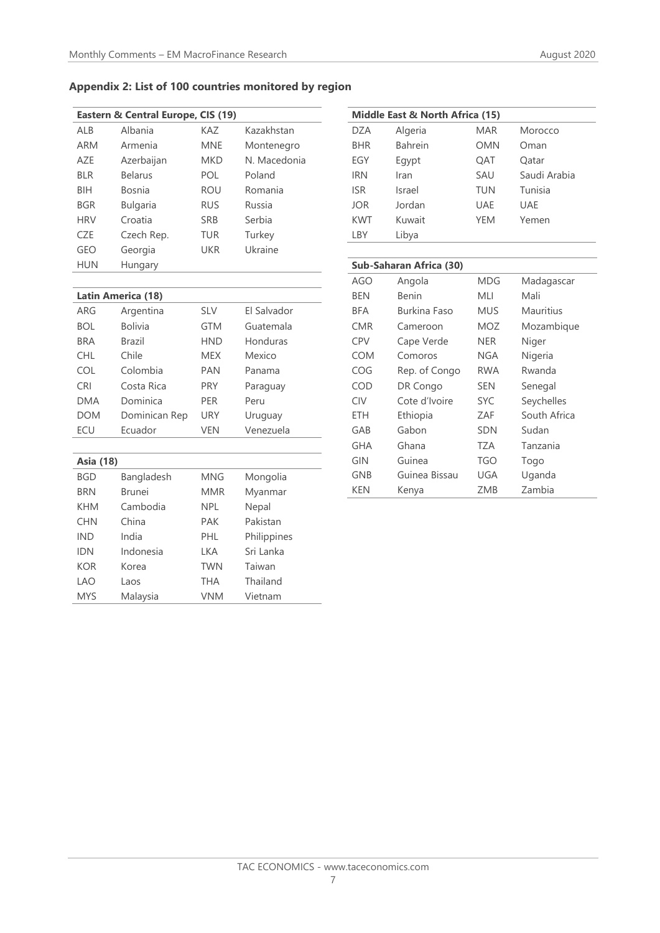### **Appendix 2: List of 100 countries monitored by region**

| Eastern & Central Europe, CIS (19) |                 |            |              |  |
|------------------------------------|-----------------|------------|--------------|--|
| ALB                                | Albania         | KAZ        | Kazakhstan   |  |
| ARM                                | Armenia         | <b>MNE</b> | Montenegro   |  |
| A7F                                | Azerbaijan      | MKD        | N. Macedonia |  |
| <b>BLR</b>                         | <b>Belarus</b>  | POL        | Poland       |  |
| BIH                                | Bosnia          | <b>ROU</b> | Romania      |  |
| <b>BGR</b>                         | <b>Bulgaria</b> | <b>RUS</b> | Russia       |  |
| <b>HRV</b>                         | Croatia         | <b>SRB</b> | Serbia       |  |
| CZE                                | Czech Rep.      | TUR        | Turkey       |  |
| GEO                                | Georgia         | UKR        | Ukraine      |  |
| HUN                                | Hungary         |            |              |  |
|                                    |                 |            |              |  |

| Latin America (18) |               |            |             |  |
|--------------------|---------------|------------|-------------|--|
| ARG                | Argentina     | <b>SLV</b> | El Salvador |  |
| <b>BOL</b>         | Bolivia       | <b>GTM</b> | Guatemala   |  |
| <b>BRA</b>         | Brazil        | <b>HND</b> | Honduras    |  |
| <b>CHL</b>         | Chile         | <b>MEX</b> | Mexico      |  |
| COL                | Colombia      | PAN        | Panama      |  |
| <b>CRI</b>         | Costa Rica    | <b>PRY</b> | Paraguay    |  |
| DMA                | Dominica      | <b>PER</b> | Peru        |  |
| <b>DOM</b>         | Dominican Rep | <b>URY</b> | Uruguay     |  |
| FCU                | Ecuador       | VFN        | Venezuela   |  |

| Asia (18)  |               |            |             |  |
|------------|---------------|------------|-------------|--|
| BGD        | Bangladesh    | <b>MNG</b> | Mongolia    |  |
| <b>BRN</b> | <b>Brunei</b> | <b>MMR</b> | Myanmar     |  |
| <b>KHM</b> | Cambodia      | NPI.       | Nepal       |  |
| <b>CHN</b> | China         | <b>PAK</b> | Pakistan    |  |
| <b>IND</b> | India         | PHL        | Philippines |  |
| IDN        | Indonesia     | I KA       | Sri Lanka   |  |
| <b>KOR</b> | Korea         | <b>TWN</b> | Taiwan      |  |
| I AO       | Laos          | <b>THA</b> | Thailand    |  |
| <b>MYS</b> | Malaysia      | <b>VNM</b> | Vietnam     |  |

| Middle East & North Africa (15) |                |     |              |  |
|---------------------------------|----------------|-----|--------------|--|
| <b>DZA</b>                      | Algeria        | MAR | Morocco      |  |
| <b>BHR</b>                      | <b>Bahrein</b> | OMN | Oman         |  |
| EGY                             | Egypt          | OAT | Oatar        |  |
| <b>IRN</b>                      | Iran           | SAU | Saudi Arabia |  |
| <b>ISR</b>                      | Israel         | TUN | Tunisia      |  |
| <b>JOR</b>                      | Jordan         | UAE | UAE          |  |
| <b>KWT</b>                      | Kuwait         | YEM | Yemen        |  |
| <b>LBY</b>                      | Libya          |     |              |  |
|                                 |                |     |              |  |
| Cuh-Saharan Africa (20)         |                |     |              |  |

| Sub-Saharan Africa (30) |                     |            |                  |  |
|-------------------------|---------------------|------------|------------------|--|
| AGO                     | Angola              | MDG        | Madagascar       |  |
| BEN                     | Benin               | MLI        | Mali             |  |
| BFA                     | <b>Burkina Faso</b> | MUS        | <b>Mauritius</b> |  |
| <b>CMR</b>              | Cameroon            | <b>MOZ</b> | Mozambique       |  |
| <b>CPV</b>              | Cape Verde          | <b>NER</b> | Niger            |  |
| COM                     | Comoros             | NGA        | Nigeria          |  |
| COG                     | Rep. of Congo       | RWA        | Rwanda           |  |
| COD                     | DR Congo            | <b>SEN</b> | Senegal          |  |
| CIV                     | Cote d'Ivoire       | <b>SYC</b> | Seychelles       |  |
| ETH                     | Ethiopia            | ZAF        | South Africa     |  |
| GAB                     | Gabon               | <b>SDN</b> | Sudan            |  |
| GHA                     | Ghana               | TZA        | Tanzania         |  |
| <b>GIN</b>              | Guinea              | TGO        | Togo             |  |
| <b>GNB</b>              | Guinea Bissau       | UGA        | Uganda           |  |
| <b>KEN</b>              | Kenya               | ZMB        | Zambia           |  |

### TAC ECONOMICS - www.taceconomics.com